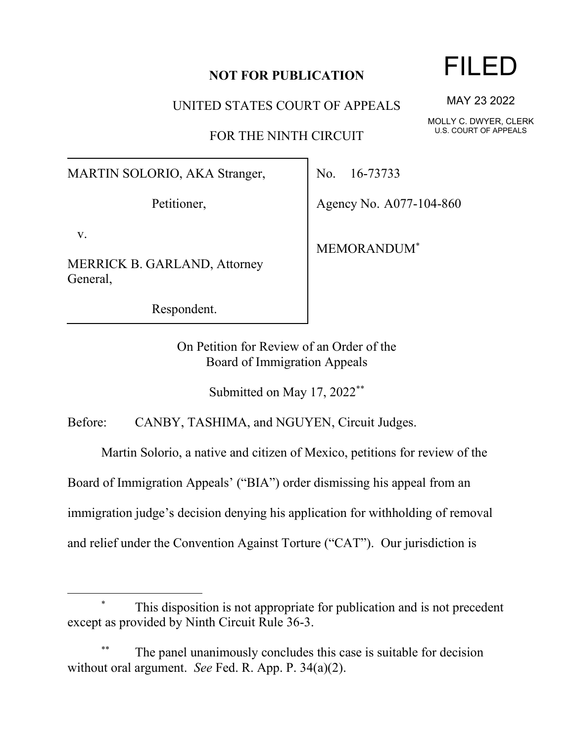## **NOT FOR PUBLICATION**

UNITED STATES COURT OF APPEALS

FOR THE NINTH CIRCUIT

MARTIN SOLORIO, AKA Stranger,

Petitioner,

v.

MERRICK B. GARLAND, Attorney General,

Respondent.

No. 16-73733

Agency No. A077-104-860

MEMORANDUM\*

On Petition for Review of an Order of the Board of Immigration Appeals

Submitted on May 17, 2022<sup>\*\*</sup>

Before: CANBY, TASHIMA, and NGUYEN, Circuit Judges.

Martin Solorio, a native and citizen of Mexico, petitions for review of the

Board of Immigration Appeals' ("BIA") order dismissing his appeal from an

immigration judge's decision denying his application for withholding of removal

and relief under the Convention Against Torture ("CAT"). Our jurisdiction is

This disposition is not appropriate for publication and is not precedent except as provided by Ninth Circuit Rule 36-3.

The panel unanimously concludes this case is suitable for decision without oral argument. *See* Fed. R. App. P. 34(a)(2).

## FILED

MAY 23 2022

MOLLY C. DWYER, CLERK U.S. COURT OF APPEALS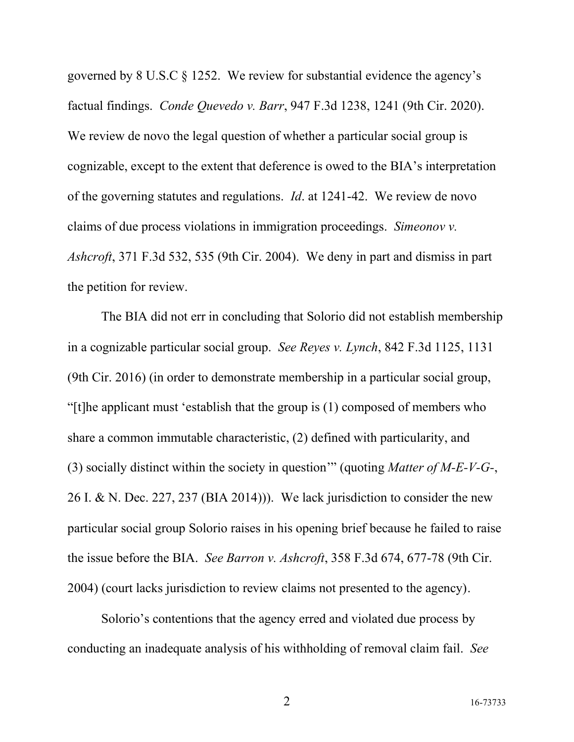governed by 8 U.S.C § 1252. We review for substantial evidence the agency's factual findings. *Conde Quevedo v. Barr*, 947 F.3d 1238, 1241 (9th Cir. 2020). We review de novo the legal question of whether a particular social group is cognizable, except to the extent that deference is owed to the BIA's interpretation of the governing statutes and regulations. *Id*. at 1241-42. We review de novo claims of due process violations in immigration proceedings. *Simeonov v. Ashcroft*, 371 F.3d 532, 535 (9th Cir. 2004). We deny in part and dismiss in part the petition for review.

The BIA did not err in concluding that Solorio did not establish membership in a cognizable particular social group. *See Reyes v. Lynch*, 842 F.3d 1125, 1131 (9th Cir. 2016) (in order to demonstrate membership in a particular social group, "[t]he applicant must 'establish that the group is (1) composed of members who share a common immutable characteristic, (2) defined with particularity, and (3) socially distinct within the society in question'" (quoting *Matter of M-E-V-G-*, 26 I. & N. Dec. 227, 237 (BIA 2014))). We lack jurisdiction to consider the new particular social group Solorio raises in his opening brief because he failed to raise the issue before the BIA. *See Barron v. Ashcroft*, 358 F.3d 674, 677-78 (9th Cir. 2004) (court lacks jurisdiction to review claims not presented to the agency).

Solorio's contentions that the agency erred and violated due process by conducting an inadequate analysis of his withholding of removal claim fail. *See*